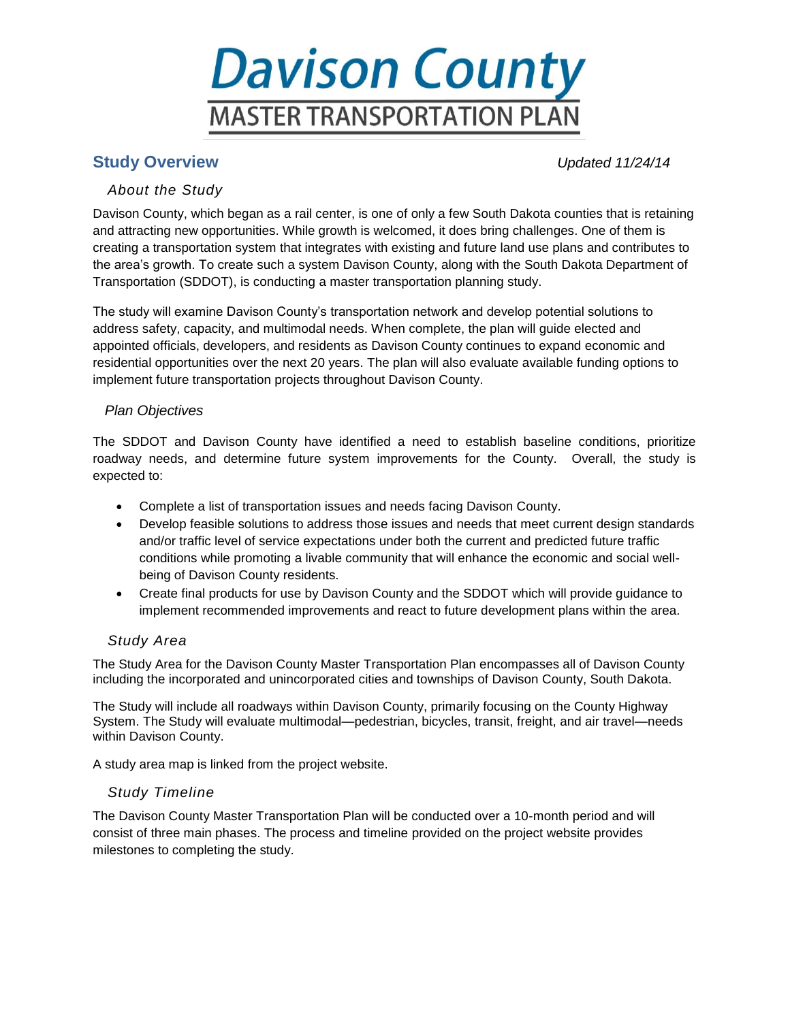# **Davison County MASTER TRANSPORTATION PLAN**

# **Study Overview** *Updated 11/24/14*

## *About the Study*

Davison County, which began as a rail center, is one of only a few South Dakota counties that is retaining and attracting new opportunities. While growth is welcomed, it does bring challenges. One of them is creating a transportation system that integrates with existing and future land use plans and contributes to the area's growth. To create such a system Davison County, along with the South Dakota Department of Transportation (SDDOT), is conducting a master transportation planning study.

The study will examine Davison County's transportation network and develop potential solutions to address safety, capacity, and multimodal needs. When complete, the plan will guide elected and appointed officials, developers, and residents as Davison County continues to expand economic and residential opportunities over the next 20 years. The plan will also evaluate available funding options to implement future transportation projects throughout Davison County.

## *Plan Objectives*

The SDDOT and Davison County have identified a need to establish baseline conditions, prioritize roadway needs, and determine future system improvements for the County. Overall, the study is expected to:

- Complete a list of transportation issues and needs facing Davison County.
- Develop feasible solutions to address those issues and needs that meet current design standards and/or traffic level of service expectations under both the current and predicted future traffic conditions while promoting a livable community that will enhance the economic and social wellbeing of Davison County residents.
- Create final products for use by Davison County and the SDDOT which will provide guidance to implement recommended improvements and react to future development plans within the area.

## *Study Area*

The Study Area for the Davison County Master Transportation Plan encompasses all of Davison County including the incorporated and unincorporated cities and townships of Davison County, South Dakota.

The Study will include all roadways within Davison County, primarily focusing on the County Highway System. The Study will evaluate multimodal—pedestrian, bicycles, transit, freight, and air travel—needs within Davison County.

A study area map is linked from the project website.

## *Study Timeline*

The Davison County Master Transportation Plan will be conducted over a 10-month period and will consist of three main phases. The process and timeline provided on the project website provides milestones to completing the study.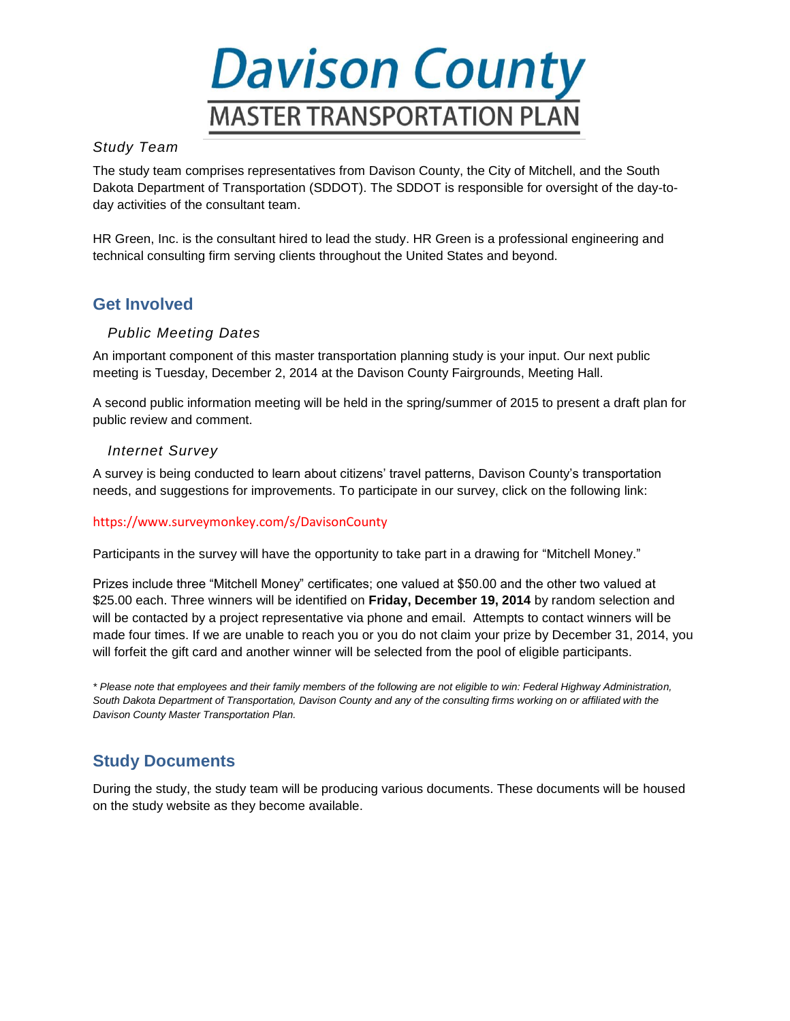

## *Study Team*

The study team comprises representatives from Davison County, the City of Mitchell, and the South Dakota Department of Transportation (SDDOT). The SDDOT is responsible for oversight of the day-today activities of the consultant team.

[HR Green,](http://www.hrgreen.com/) Inc. is the consultant hired to lead the study. HR Green is a professional engineering and technical consulting firm serving clients throughout the United States and beyond.

## **Get Involved**

## *Public Meeting Dates*

An important component of this master transportation planning study is your input. Our next public meeting is Tuesday, December 2, 2014 at the Davison County Fairgrounds, Meeting Hall.

A second public information meeting will be held in the spring/summer of 2015 to present a draft plan for public review and comment.

## *Internet Survey*

A survey is being conducted to learn about citizens' travel patterns, Davison County's transportation needs, and suggestions for improvements. To participate in our survey, click on the following link:

#### <https://www.surveymonkey.com/s/DavisonCounty>

Participants in the survey will have the opportunity to take part in a drawing for "Mitchell Money."

Prizes include three "Mitchell Money" certificates; one valued at \$50.00 and the other two valued at \$25.00 each. Three winners will be identified on **Friday, December 19, 2014** by random selection and will be contacted by a project representative via phone and email. Attempts to contact winners will be made four times. If we are unable to reach you or you do not claim your prize by December 31, 2014, you will forfeit the gift card and another winner will be selected from the pool of eligible participants.

*\* Please note that employees and their family members of the following are not eligible to win: Federal Highway Administration, South Dakota Department of Transportation, Davison County and any of the consulting firms working on or affiliated with the Davison County Master Transportation Plan.*

# **Study Documents**

During the study, the study team will be producing various documents. These documents will be housed on the study website as they become available.